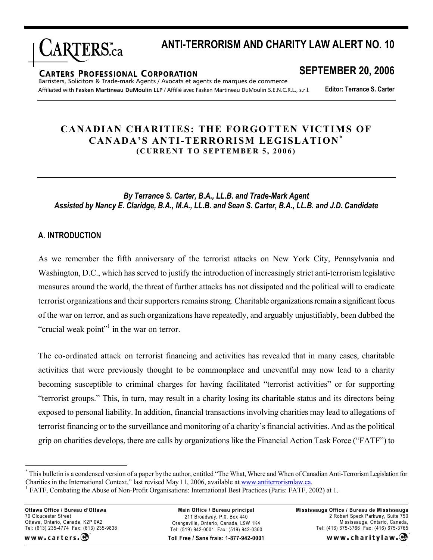

# **ANTI-TERRORISM AND CHARITY LAW ALERT NO. 10**

#### **CARTERS PROFESSIONAL CORPORATION**

**SEPTEMBER 20, 2006**

Barristers, Solicitors & Trade-mark Agents / Avocats et agents de marques de commerce Affiliated with **Fasken Martineau DuMoulin LLP** / Affilié avec Fasken Martineau DuMoulin S.E.N.C.R.L., s.r.l.

**Editor: Terrance S. Carter**

# **CANADIAN CHARITIES: THE FORGOTTEN VICTIMS OF CANADA'S ANTI-TERRORISM LEGISLATION \* (CURRENT TO SEPTEMBER 5, 2006)**

*By Terrance S. Carter, B.A., LL.B. and Trade-Mark Agent Assisted by Nancy E. Claridge, B.A., M.A., LL.B. and Sean S. Carter, B.A., LL.B. and J.D. Candidate*

#### **A. INTRODUCTION**

As we remember the fifth anniversary of the terrorist attacks on New York City, Pennsylvania and Washington, D.C., which has served to justify the introduction of increasingly strict anti-terrorism legislative measures around the world, the threat of further attacks has not dissipated and the political will to eradicate terrorist organizations and their supporters remains strong. Charitable organizations remain a significant focus of the war on terror, and as such organizations have repeatedly, and arguably unjustifiably, been dubbed the "crucial weak point"<sup> $1$ </sup> in the war on terror.

The co-ordinated attack on terrorist financing and activities has revealed that in many cases, charitable activities that were previously thought to be commonplace and uneventful may now lead to a charity becoming susceptible to criminal charges for having facilitated "terrorist activities" or for supporting "terrorist groups." This, in turn, may result in a charity losing its charitable status and its directors being exposed to personal liability. In addition, financial transactions involving charities may lead to allegations of terrorist financing or to the surveillance and monitoring of a charity's financial activities. And as the political grip on charities develops, there are calls by organizations like the Financial Action Task Force ("FATF") to

**Ottawa Office / Bureau d'Ottawa** 70 Gloucester Street Ottawa, Ontario, Canada, K2P 0A2 Tel: (613) 235-4774 Fax: (613) 235-9838

www.carters.

**Toll Free / Sans frais: 1-877-942-0001 Main Office / Bureau principal** 211 Broadway, P.0. Box 440 Orangeville, Ontario, Canada, L9W 1K4 Tel: (519) 942-0001 Fax: (519) 942-0300

**Mississauga Office / Bureau de Mississauga** 2 Robert Speck Parkway, Suite 750 Mississauga, Ontario, Canada, Tel: (416) 675-3766 Fax: (416) 675-3765

www.charitylaw.CA

<sup>\*</sup> This bulletin is a condensed version of a paper by the author, entitled "The What, Where and When of Canadian Anti-Terrorism Legislation for Charities in the International Context," last revised May 11, 2006, available at [www.antiterrorismlaw.ca.](www.antiterrorismlaw.ca)

<sup>&</sup>lt;sup>1</sup> FATF, Combating the Abuse of Non-Profit Organisations: International Best Practices (Paris: FATF, 2002) at 1.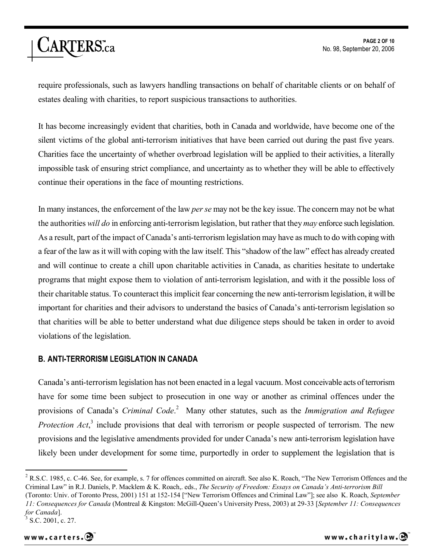require professionals, such as lawyers handling transactions on behalf of charitable clients or on behalf of estates dealing with charities, to report suspicious transactions to authorities.

It has become increasingly evident that charities, both in Canada and worldwide, have become one of the silent victims of the global anti-terrorism initiatives that have been carried out during the past five years. Charities face the uncertainty of whether overbroad legislation will be applied to their activities, a literally impossible task of ensuring strict compliance, and uncertainty as to whether they will be able to effectively continue their operations in the face of mounting restrictions.

In many instances, the enforcement of the law *per se* may not be the key issue. The concern may not be what the authorities *will do* in enforcing anti-terrorism legislation, but rather that they *may* enforce such legislation. As a result, part of the impact of Canada's anti-terrorism legislation may have as much to do with coping with a fear of the law as it will with coping with the law itself. This "shadow of the law" effect has already created and will continue to create a chill upon charitable activities in Canada, as charities hesitate to undertake programs that might expose them to violation of anti-terrorism legislation, and with it the possible loss of their charitable status. To counteract this implicit fear concerning the new anti-terrorism legislation, it will be important for charities and their advisors to understand the basics of Canada's anti-terrorism legislation so that charities will be able to better understand what due diligence steps should be taken in order to avoid violations of the legislation.

# **B. ANTI-TERRORISM LEGISLATION IN CANADA**

Canada's anti-terrorism legislation has not been enacted in a legal vacuum. Most conceivable acts of terrorism have for some time been subject to prosecution in one way or another as criminal offences under the provisions of Canada's *Criminal Code*. <sup>2</sup> Many other statutes, such as the *Immigration and Refugee*  Protection Act,<sup>3</sup> include provisions that deal with terrorism or people suspected of terrorism. The new provisions and the legislative amendments provided for under Canada's new anti-terrorism legislation have likely been under development for some time, purportedly in order to supplement the legislation that is

<sup>&</sup>lt;sup>2</sup> R.S.C. 1985, c. C-46. See, for example, s. 7 for offences committed on aircraft. See also K. Roach, "The New Terrorism Offences and the Criminal Law" in R.J. Daniels, P. Macklem & K. Roach,. eds., *The Security of Freedom: Essays on Canada's Anti-terrorism Bill* (Toronto: Univ. of Toronto Press, 2001) 151 at 152-154 ["New Terrorism Offences and Criminal Law"]; see also K. Roach, *September 11: Consequences for Canada* (Montreal & Kingston: McGill-Queen's University Press, 2003) at 29-33 [*September 11: Consequences for Canada*].

<sup>3</sup> S.C. 2001, c. 27.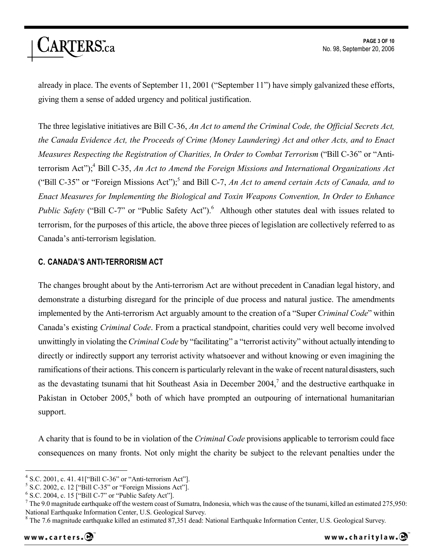already in place. The events of September 11, 2001 ("September 11") have simply galvanized these efforts, giving them a sense of added urgency and political justification.

The three legislative initiatives are Bill C-36, *An Act to amend the Criminal Code, the Official Secrets Act, the Canada Evidence Act, the Proceeds of Crime (Money Laundering) Act and other Acts, and to Enact Measures Respecting the Registration of Charities, In Order to Combat Terrorism* ("Bill C-36" or "Antiterrorism Act");<sup>4</sup> Bill C-35, *An Act to Amend the Foreign Missions and International Organizations Act* ("Bill C-35" or "Foreign Missions Act");<sup>5</sup> and Bill C-7, *An Act to amend certain Acts of Canada, and to Enact Measures for Implementing the Biological and Toxin Weapons Convention, In Order to Enhance Public Safety* ("Bill C-7" or "Public Safety Act").<sup>6</sup> Although other statutes deal with issues related to terrorism, for the purposes of this article, the above three pieces of legislation are collectively referred to as Canada's anti-terrorism legislation.

# **C. CANADA'S ANTI-TERRORISM ACT**

The changes brought about by the Anti-terrorism Act are without precedent in Canadian legal history, and demonstrate a disturbing disregard for the principle of due process and natural justice. The amendments implemented by the Anti-terrorism Act arguably amount to the creation of a "Super *Criminal Code*" within Canada's existing *Criminal Code*. From a practical standpoint, charities could very well become involved unwittingly in violating the *Criminal Code* by "facilitating" a "terrorist activity" without actually intending to directly or indirectly support any terrorist activity whatsoever and without knowing or even imagining the ramifications of their actions. This concern is particularly relevant in the wake of recent natural disasters, such as the devastating tsunami that hit Southeast Asia in December  $2004$ , and the destructive earthquake in Pakistan in October 2005,<sup>8</sup> both of which have prompted an outpouring of international humanitarian support.

A charity that is found to be in violation of the *Criminal Code* provisions applicable to terrorism could face consequences on many fronts. Not only might the charity be subject to the relevant penalties under the

 $4$  S.C. 2001, c. 41. 41["Bill C-36" or "Anti-terrorism Act"].

<sup>&</sup>lt;sup>5</sup> S.C. 2002, c. 12 ["Bill C-35" or "Foreign Missions Act"].

 $6$  S.C. 2004, c. 15 ["Bill C-7" or "Public Safety Act"].

<sup>&</sup>lt;sup>7</sup> The 9.0 magnitude earthquake off the western coast of Sumatra, Indonesia, which was the cause of the tsunami, killed an estimated 275,950: National Earthquake Information Center, U.S. Geological Survey.

 $8$  The 7.6 magnitude earthquake killed an estimated 87,351 dead: National Earthquake Information Center, U.S. Geological Survey.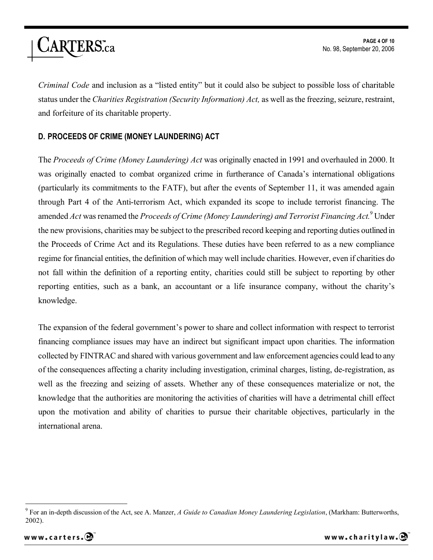

*Criminal Code* and inclusion as a "listed entity" but it could also be subject to possible loss of charitable status under the *Charities Registration (Security Information) Act,* as well as the freezing, seizure, restraint, and forfeiture of its charitable property.

# **D. PROCEEDS OF CRIME (MONEY LAUNDERING) ACT**

The *Proceeds of Crime (Money Laundering) Act* was originally enacted in 1991 and overhauled in 2000. It was originally enacted to combat organized crime in furtherance of Canada's international obligations (particularly its commitments to the FATF), but after the events of September 11, it was amended again through Part 4 of the Anti-terrorism Act, which expanded its scope to include terrorist financing. The amended *Act* was renamed the *Proceeds of Crime (Money Laundering) and Terrorist Financing Act.*<sup>9</sup> Under the new provisions, charities may be subject to the prescribed record keeping and reporting duties outlined in the Proceeds of Crime Act and its Regulations. These duties have been referred to as a new compliance regime for financial entities, the definition of which may well include charities. However, even if charities do not fall within the definition of a reporting entity, charities could still be subject to reporting by other reporting entities, such as a bank, an accountant or a life insurance company, without the charity's knowledge.

The expansion of the federal government's power to share and collect information with respect to terrorist financing compliance issues may have an indirect but significant impact upon charities. The information collected by FINTRAC and shared with various government and law enforcement agencies could lead to any of the consequences affecting a charity including investigation, criminal charges, listing, de-registration, as well as the freezing and seizing of assets. Whether any of these consequences materialize or not, the knowledge that the authorities are monitoring the activities of charities will have a detrimental chill effect upon the motivation and ability of charities to pursue their charitable objectives, particularly in the international arena.

<sup>9</sup> For an in-depth discussion of the Act, see A. Manzer, *A Guide to Canadian Money Laundering Legislation*, (Markham: Butterworths, 2002).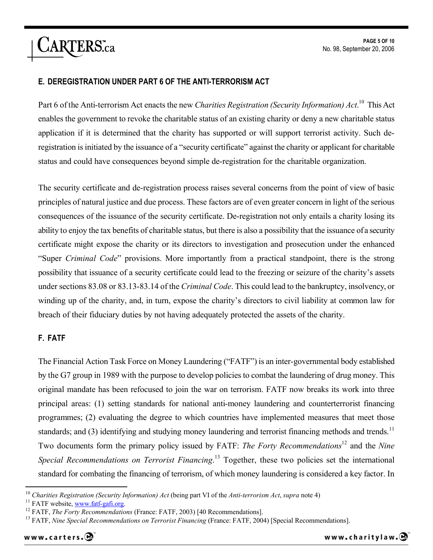### **E. DEREGISTRATION UNDER PART 6 OF THE ANTI-TERRORISM ACT**

Part 6 of the Anti-terrorism Act enacts the new *Charities Registration (Security Information) Act*. <sup>10</sup> This Act enables the government to revoke the charitable status of an existing charity or deny a new charitable status application if it is determined that the charity has supported or will support terrorist activity. Such deregistration is initiated by the issuance of a "security certificate" against the charity or applicant for charitable status and could have consequences beyond simple de-registration for the charitable organization.

The security certificate and de-registration process raises several concerns from the point of view of basic principles of natural justice and due process. These factors are of even greater concern in light of the serious consequences of the issuance of the security certificate. De-registration not only entails a charity losing its ability to enjoy the tax benefits of charitable status, but there is also a possibility that the issuance of a security certificate might expose the charity or its directors to investigation and prosecution under the enhanced "Super *Criminal Code*" provisions. More importantly from a practical standpoint, there is the strong possibility that issuance of a security certificate could lead to the freezing or seizure of the charity's assets under sections 83.08 or 83.13-83.14 of the *Criminal Code*. This could lead to the bankruptcy, insolvency, or winding up of the charity, and, in turn, expose the charity's directors to civil liability at common law for breach of their fiduciary duties by not having adequately protected the assets of the charity.

#### **F. FATF**

The Financial Action Task Force on Money Laundering ("FATF") is an inter-governmental body established by the G7 group in 1989 with the purpose to develop policies to combat the laundering of drug money. This original mandate has been refocused to join the war on terrorism. FATF now breaks its work into three principal areas: (1) setting standards for national anti-money laundering and counterterrorist financing programmes; (2) evaluating the degree to which countries have implemented measures that meet those standards; and (3) identifying and studying money laundering and terrorist financing methods and trends.<sup>11</sup> Two documents form the primary policy issued by FATF: *The Forty Recommendations*<sup>12</sup> and the *Nine Special Recommendations on Terrorist Financing*. <sup>13</sup> Together, these two policies set the international standard for combating the financing of terrorism, of which money laundering is considered a key factor. In

<sup>10</sup> *Charities Registration (Security Information) Act* (being part VI of the *Anti-terrorism Act*, *supra* note 4)

<sup>&</sup>lt;sup>11</sup> FATF website, [www.fatf-gafi.org.](www.fatf-gafi.org)

<sup>&</sup>lt;sup>12</sup> FATF, *The Forty Recommendations* (France: FATF, 2003) [40 Recommendations].

<sup>&</sup>lt;sup>13</sup> FATF, *Nine Special Recommendations on Terrorist Financing* (France: FATF, 2004) [Special Recommendations].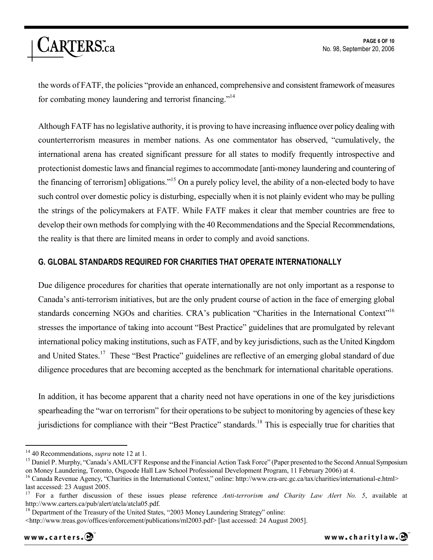

the words of FATF, the policies "provide an enhanced, comprehensive and consistent framework of measures for combating money laundering and terrorist financing."<sup>14</sup>

Although FATF has no legislative authority, it is proving to have increasing influence over policy dealing with counterterrorism measures in member nations. As one commentator has observed, "cumulatively, the international arena has created significant pressure for all states to modify frequently introspective and protectionist domestic laws and financial regimes to accommodate [anti-money laundering and countering of the financing of terrorism] obligations."<sup>15</sup> On a purely policy level, the ability of a non-elected body to have such control over domestic policy is disturbing, especially when it is not plainly evident who may be pulling the strings of the policymakers at FATF. While FATF makes it clear that member countries are free to develop their own methods for complying with the 40 Recommendations and the Special Recommendations, the reality is that there are limited means in order to comply and avoid sanctions.

# **G. GLOBAL STANDARDS REQUIRED FOR CHARITIES THAT OPERATE INTERNATIONALLY**

Due diligence procedures for charities that operate internationally are not only important as a response to Canada's anti-terrorism initiatives, but are the only prudent course of action in the face of emerging global standards concerning NGOs and charities. CRA's publication "Charities in the International Context"<sup>16</sup> stresses the importance of taking into account "Best Practice" guidelines that are promulgated by relevant international policy making institutions, such as FATF, and by key jurisdictions, such as the United Kingdom and United States.<sup>17</sup> These "Best Practice" guidelines are reflective of an emerging global standard of due diligence procedures that are becoming accepted as the benchmark for international charitable operations.

In addition, it has become apparent that a charity need not have operations in one of the key jurisdictions spearheading the "war on terrorism" for their operations to be subject to monitoring by agencies of these key jurisdictions for compliance with their "Best Practice" standards.<sup>18</sup> This is especially true for charities that

<sup>14</sup> 40 Recommendations, *supra* note 12 at 1.

<sup>&</sup>lt;sup>15</sup> Daniel P. Murphy, "Canada's AML/CFT Response and the Financial Action Task Force" (Paper presented to the Second Annual Symposium on Money Laundering, Toronto, Osgoode Hall Law School Professional Development Program, 11 February 2006) at 4.

<sup>&</sup>lt;sup>16</sup> Canada Revenue Agency, "Charities in the International Context," online: [http://](http://www.cra-arc.gc.ca/tax/charities/international-e.html>)www.cra-arc.gc.ca/tax/charities/international-e.html> last accessed: 23 August 2005.

<sup>17</sup> For a further discussion of these issues please reference *Anti-terrorism and Charity Law Alert No. 5*, available at [http://](http://www.carters.ca/pub/alert/atcla/atcla05.pdf.)<www.carters.ca/pub/alert/atcla/atcla05.pdf.>

<sup>&</sup>lt;sup>18</sup> Department of the Treasury of the United States, "2003 Money Laundering Strategy" online:

<sup>&</sup>lt;[http://](http://www.treas.gov/offices/enforcement/publications/ml2003.pdf>)<www.treas.gov/offices/enforcement/publications/ml2003.pdf>> [last accessed: 24 August 2005].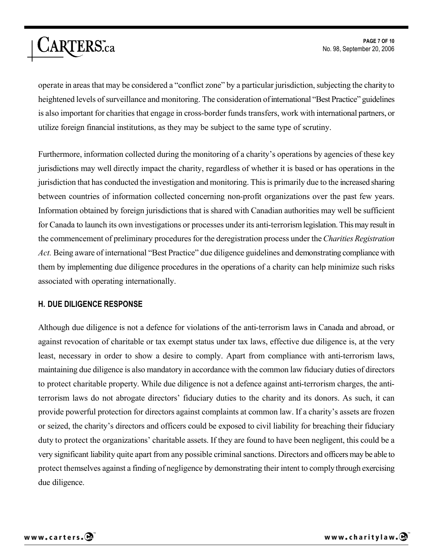operate in areas that may be considered a "conflict zone" by a particular jurisdiction, subjecting the charityto heightened levels of surveillance and monitoring. The consideration ofinternational "Best Practice" guidelines is also important for charities that engage in cross-border funds transfers, work with international partners, or utilize foreign financial institutions, as they may be subject to the same type of scrutiny.

Furthermore, information collected during the monitoring of a charity's operations by agencies of these key jurisdictions may well directly impact the charity, regardless of whether it is based or has operations in the jurisdiction that has conducted the investigation and monitoring. This is primarily due to the increased sharing between countries of information collected concerning non-profit organizations over the past few years. Information obtained by foreign jurisdictions that is shared with Canadian authorities may well be sufficient for Canada to launch its own investigations or processes under its anti-terrorism legislation. This may result in the commencement of preliminary procedures for the deregistration process under the *Charities Registration Act.* Being aware of international "Best Practice" due diligence guidelines and demonstrating compliance with them by implementing due diligence procedures in the operations of a charity can help minimize such risks associated with operating internationally.

#### **H. DUE DILIGENCE RESPONSE**

Although due diligence is not a defence for violations of the anti-terrorism laws in Canada and abroad, or against revocation of charitable or tax exempt status under tax laws, effective due diligence is, at the very least, necessary in order to show a desire to comply. Apart from compliance with anti-terrorism laws, maintaining due diligence is also mandatory in accordance with the common law fiduciary duties of directors to protect charitable property. While due diligence is not a defence against anti-terrorism charges, the antiterrorism laws do not abrogate directors' fiduciary duties to the charity and its donors. As such, it can provide powerful protection for directors against complaints at common law. If a charity's assets are frozen or seized, the charity's directors and officers could be exposed to civil liability for breaching their fiduciary duty to protect the organizations' charitable assets. If they are found to have been negligent, this could be a very significant liability quite apart from any possible criminal sanctions. Directors and officers may be able to protect themselves against a finding of negligence by demonstrating their intent to complythrough exercising due diligence.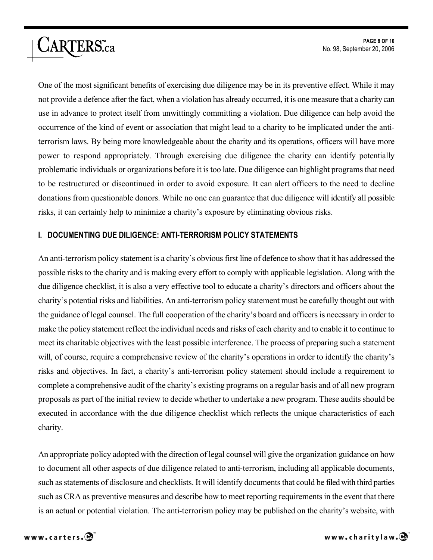One of the most significant benefits of exercising due diligence may be in its preventive effect. While it may not provide a defence after the fact, when a violation has already occurred, it is one measure that a charitycan use in advance to protect itself from unwittingly committing a violation. Due diligence can help avoid the occurrence of the kind of event or association that might lead to a charity to be implicated under the antiterrorism laws. By being more knowledgeable about the charity and its operations, officers will have more power to respond appropriately. Through exercising due diligence the charity can identify potentially problematic individuals or organizations before it is too late. Due diligence can highlight programs that need to be restructured or discontinued in order to avoid exposure. It can alert officers to the need to decline donations from questionable donors. While no one can guarantee that due diligence will identify all possible risks, it can certainly help to minimize a charity's exposure by eliminating obvious risks.

#### **I. DOCUMENTING DUE DILIGENCE: ANTI-TERRORISM POLICY STATEMENTS**

An anti-terrorism policy statement is a charity's obvious first line of defence to show that it has addressed the possible risks to the charity and is making every effort to comply with applicable legislation. Along with the due diligence checklist, it is also a very effective tool to educate a charity's directors and officers about the charity's potential risks and liabilities. An anti-terrorism policy statement must be carefully thought out with the guidance of legal counsel. The full cooperation of the charity's board and officers is necessary in order to make the policy statement reflect the individual needs and risks of each charity and to enable it to continue to meet its charitable objectives with the least possible interference. The process of preparing such a statement will, of course, require a comprehensive review of the charity's operations in order to identify the charity's risks and objectives. In fact, a charity's anti-terrorism policy statement should include a requirement to complete a comprehensive audit of the charity's existing programs on a regular basis and of all new program proposals as part of the initial review to decide whether to undertake a new program. These audits should be executed in accordance with the due diligence checklist which reflects the unique characteristics of each charity.

An appropriate policy adopted with the direction of legal counsel will give the organization guidance on how to document all other aspects of due diligence related to anti-terrorism, including all applicable documents, such as statements of disclosure and checklists. It will identify documents that could be filed with third parties such as CRA as preventive measures and describe how to meet reporting requirements in the event that there is an actual or potential violation. The anti-terrorism policy may be published on the charity's website, with

CARTERS.ca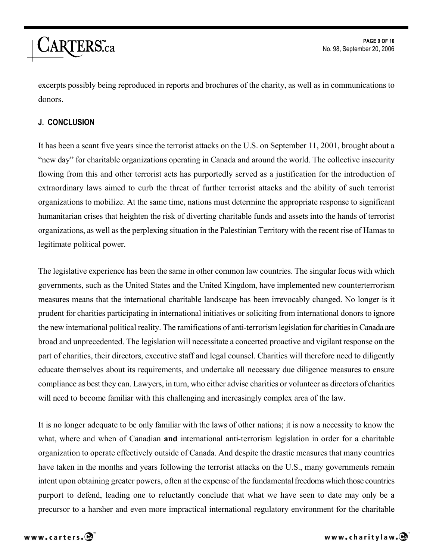

excerpts possibly being reproduced in reports and brochures of the charity, as well as in communications to donors.

#### **J. CONCLUSION**

It has been a scant five years since the terrorist attacks on the U.S. on September 11, 2001, brought about a "new day" for charitable organizations operating in Canada and around the world. The collective insecurity flowing from this and other terrorist acts has purportedly served as a justification for the introduction of extraordinary laws aimed to curb the threat of further terrorist attacks and the ability of such terrorist organizations to mobilize. At the same time, nations must determine the appropriate response to significant humanitarian crises that heighten the risk of diverting charitable funds and assets into the hands of terrorist organizations, as well as the perplexing situation in the Palestinian Territory with the recent rise of Hamas to legitimate political power.

The legislative experience has been the same in other common law countries. The singular focus with which governments, such as the United States and the United Kingdom, have implemented new counterterrorism measures means that the international charitable landscape has been irrevocably changed. No longer is it prudent for charities participating in international initiatives or soliciting from international donors to ignore the new international political reality. The ramifications of anti-terrorism legislation for charities in Canada are broad and unprecedented. The legislation will necessitate a concerted proactive and vigilant response on the part of charities, their directors, executive staff and legal counsel. Charities will therefore need to diligently educate themselves about its requirements, and undertake all necessary due diligence measures to ensure compliance as best they can. Lawyers, in turn, who either advise charities or volunteer as directors of charities will need to become familiar with this challenging and increasingly complex area of the law.

It is no longer adequate to be only familiar with the laws of other nations; it is now a necessity to know the what, where and when of Canadian **and** international anti-terrorism legislation in order for a charitable organization to operate effectively outside of Canada. And despite the drastic measures that many countries have taken in the months and years following the terrorist attacks on the U.S., many governments remain intent upon obtaining greater powers, often at the expense of the fundamental freedoms which those countries purport to defend, leading one to reluctantly conclude that what we have seen to date may only be a precursor to a harsher and even more impractical international regulatory environment for the charitable